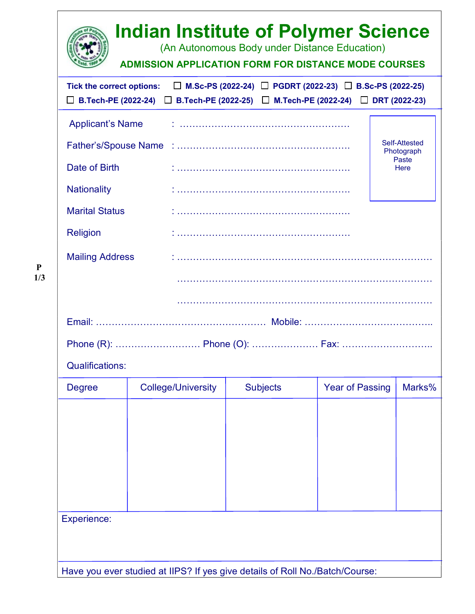|                                                                                                                                      | <b>Indian Institute of Polymer Science</b><br><b>ADMISSION APPLICATION FORM FOR DISTANCE MODE COURSES</b> | (An Autonomous Body under Distance Education)                            |                        |                                              |
|--------------------------------------------------------------------------------------------------------------------------------------|-----------------------------------------------------------------------------------------------------------|--------------------------------------------------------------------------|------------------------|----------------------------------------------|
| <b>Tick the correct options:</b>                                                                                                     | □ B.Tech-PE (2022-24) □ B.Tech-PE (2022-25) □ M.Tech-PE (2022-24) □ DRT (2022-23)                         | $\Box$ M.Sc-PS (2022-24) $\Box$ PGDRT (2022-23) $\Box$ B.Sc-PS (2022-25) |                        |                                              |
| <b>Applicant's Name</b><br>Date of Birth<br><b>Nationality</b><br><b>Marital Status</b><br><b>Religion</b><br><b>Mailing Address</b> |                                                                                                           |                                                                          |                        | Self-Attested<br>Photograph<br>Paste<br>Here |
| <b>Qualifications:</b>                                                                                                               |                                                                                                           |                                                                          |                        |                                              |
| <b>Degree</b>                                                                                                                        | <b>College/University</b>                                                                                 | <b>Subjects</b>                                                          | <b>Year of Passing</b> | Marks%                                       |
| <b>Experience:</b>                                                                                                                   | Have you ever studied at IIPS? If yes give details of Roll No./Batch/Course:                              |                                                                          |                        |                                              |

 P 1/3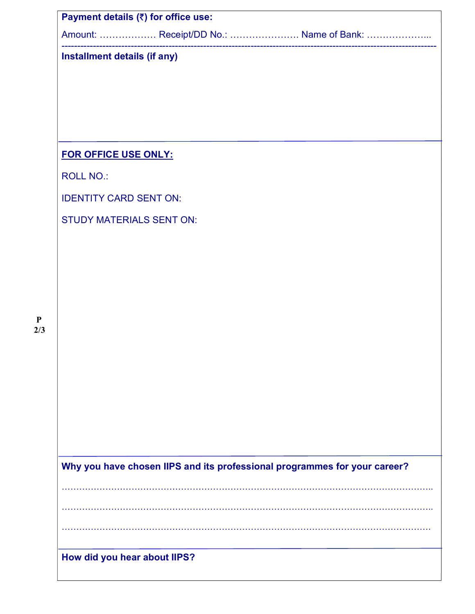|                               |                                 | Amount:  Receipt/DD No.:  Name of Bank:                                   |
|-------------------------------|---------------------------------|---------------------------------------------------------------------------|
| Installment details (if any)  |                                 |                                                                           |
|                               |                                 |                                                                           |
|                               |                                 |                                                                           |
|                               |                                 |                                                                           |
| FOR OFFICE USE ONLY:          |                                 |                                                                           |
| <b>ROLL NO.:</b>              |                                 |                                                                           |
| <b>IDENTITY CARD SENT ON:</b> |                                 |                                                                           |
|                               | <b>STUDY MATERIALS SENT ON:</b> |                                                                           |
|                               |                                 |                                                                           |
|                               |                                 |                                                                           |
|                               |                                 |                                                                           |
|                               |                                 |                                                                           |
|                               |                                 |                                                                           |
|                               |                                 |                                                                           |
|                               |                                 |                                                                           |
|                               |                                 |                                                                           |
|                               |                                 |                                                                           |
|                               |                                 |                                                                           |
|                               |                                 |                                                                           |
|                               |                                 | Why you have chosen IIPS and its professional programmes for your career? |
|                               |                                 |                                                                           |
|                               |                                 |                                                                           |
|                               |                                 |                                                                           |
|                               |                                 |                                                                           |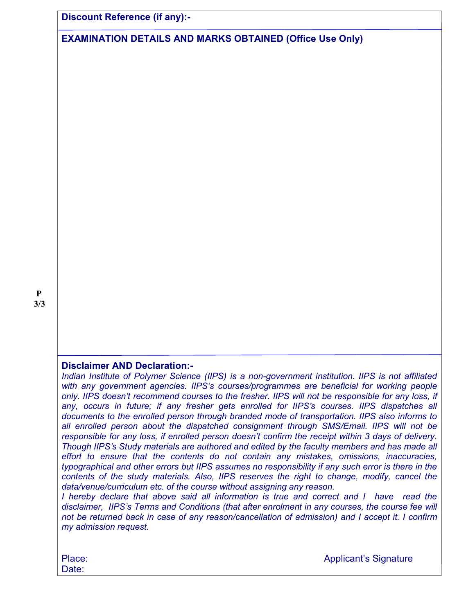Discount Reference (if any):-

EXAMINATION DETAILS AND MARKS OBTAINED (Office Use Only)

# Disclaimer AND Declaration:-

Indian Institute of Polymer Science (IIPS) is a non-government institution. IIPS is not affiliated with any government agencies. IIPS's courses/programmes are beneficial for working people only. IIPS doesn't recommend courses to the fresher. IIPS will not be responsible for any loss, if any, occurs in future; if any fresher gets enrolled for IIPS's courses. IIPS dispatches all documents to the enrolled person through branded mode of transportation. IIPS also informs to all enrolled person about the dispatched consignment through SMS/Email. IIPS will not be responsible for any loss, if enrolled person doesn't confirm the receipt within 3 days of delivery. Though IIPS's Study materials are authored and edited by the faculty members and has made all effort to ensure that the contents do not contain any mistakes, omissions, inaccuracies, typographical and other errors but IIPS assumes no responsibility if any such error is there in the contents of the study materials. Also, IIPS reserves the right to change, modify, cancel the data/venue/curriculum etc. of the course without assigning any reason.

I hereby declare that above said all information is true and correct and I have read the disclaimer, IIPS's Terms and Conditions (that after enrolment in any courses, the course fee will not be returned back in case of any reason/cancellation of admission) and I accept it. I confirm my admission request.

Date:

Place: Applicant's Signature Place: